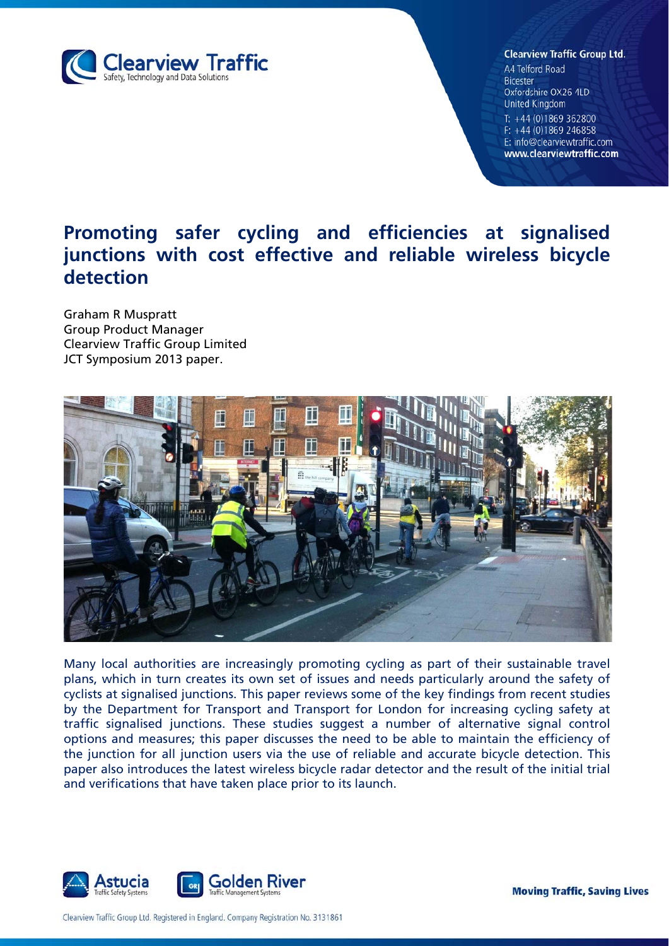

#### **Clearview Traffic Group Ltd.**

A4 Telford Road **Bicester** Oxfordshire OX26 4LD **United Kingdom** T:  $+44(0)1869362800$  $F: +44(0)1869246858$ E: info@clearviewtraffic.com www.clearviewtraffic.com

# **Promoting safer cycling and efficiencies at signalised junctions with cost effective and reliable wireless bicycle detection**

Graham R Muspratt Group Product Manager Clearview Traffic Group Limited JCT Symposium 2013 paper.



Many local authorities are increasingly promoting cycling as part of their sustainable travel plans, which in turn creates its own set of issues and needs particularly around the safety of cyclists at signalised junctions. This paper reviews some of the key findings from recent studies by the Department for Transport and Transport for London for increasing cycling safety at traffic signalised junctions. These studies suggest a number of alternative signal control options and measures; this paper discusses the need to be able to maintain the efficiency of the junction for all junction users via the use of reliable and accurate bicycle detection. This paper also introduces the latest wireless bicycle radar detector and the result of the initial trial and verifications that have taken place prior to its launch.



**Moving Traffic, Saving Lives** 

Clearview Traffic Group Ltd. Registered in England. Company Registration No. 3131861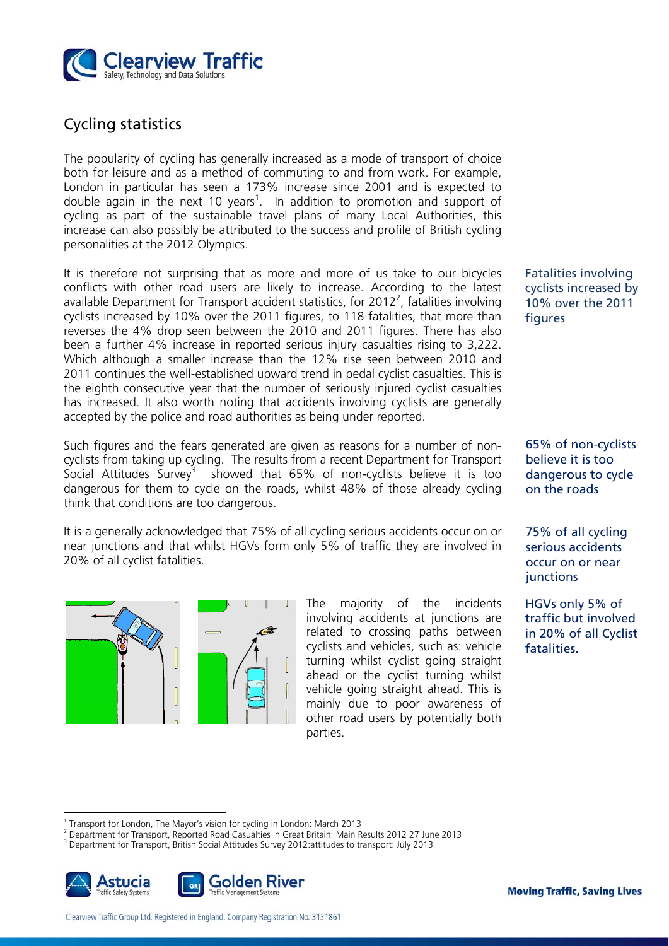

# Cycling statistics

The popularity of cycling has generally increased as a mode of transport of choice both for leisure and as a method of commuting to and from work. For example, London in particular has seen a 173% increase since 2001 and is expected to double again in the next 10 years<sup>1</sup>. In addition to promotion and support of cycling as part of the sustainable travel plans of many Local Authorities, this increase can also possibly be attributed to the success and profile of British cycling personalities at the 2012 Olympics.

It is therefore not surprising that as more and more of us take to our bicycles conflicts with other road users are likely to increase. According to the latest available Department for Transport accident statistics, for 2012<sup>2</sup>, fatalities involving cyclists increased by 10% over the 2011 figures, to 118 fatalities, that more than reverses the 4% drop seen between the 2010 and 2011 figures. There has also been a further 4% increase in reported serious injury casualties rising to 3,222. Which although a smaller increase than the 12% rise seen between 2010 and 2011 continues the well-established upward trend in pedal cyclist casualties. This is the eighth consecutive year that the number of seriously injured cyclist casualties has increased. It also worth noting that accidents involving cyclists are generally accepted by the police and road authorities as being under reported.

Such figures and the fears generated are given as reasons for a number of noncyclists from taking up cycling. The results from a recent Department for Transport Social Attitudes Survey<sup>3</sup> showed that  $65\%$  of non-cyclists believe it is too dangerous for them to cycle on the roads, whilst 48% of those already cycling think that conditions are too dangerous.

It is a generally acknowledged that 75% of all cycling serious accidents occur on or near junctions and that whilst HGVs form only 5% of traffic they are involved in 20% of all cyclist fatalities.



The majority of the incidents involving accidents at junctions are related to crossing paths between cyclists and vehicles, such as: vehicle turning whilst cyclist going straight ahead or the cyclist turning whilst vehicle going straight ahead. This is mainly due to poor awareness of other road users by potentially both parties.

Fatalities involving cyclists increased by 10% over the 2011 figures

65% of non-cyclists believe it is too dangerous to cycle on the roads

75% of all cycling serious accidents occur on or near junctions

HGVs only 5% of traffic but involved in 20% of all Cyclist fatalities.

Department for Transport, British Social Attitudes Survey 2012:attitudes to transport: July 2013



 $\overline{a}$ 

<sup>1</sup> Transport for London, The Mayor's vision for cycling in London: March 2013

<sup>2</sup> Department for Transport, Reported Road Casualties in Great Britain: Main Results 2012 27 June 2013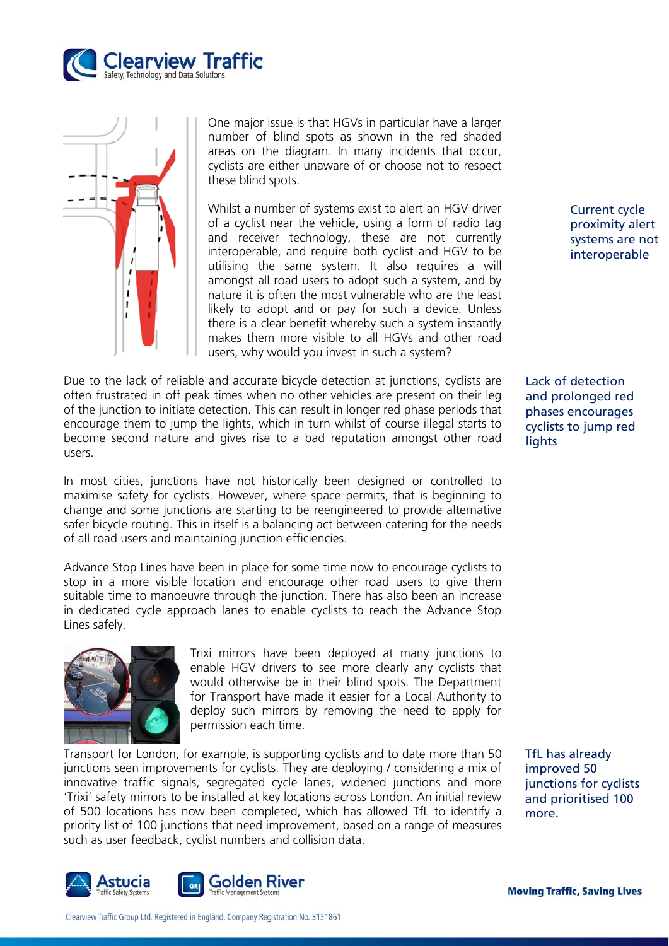



One major issue is that HGVs in particular have a larger number of blind spots as shown in the red shaded areas on the diagram. In many incidents that occur, cyclists are either unaware of or choose not to respect these blind spots.

Whilst a number of systems exist to alert an HGV driver of a cyclist near the vehicle, using a form of radio tag and receiver technology, these are not currently interoperable, and require both cyclist and HGV to be utilising the same system. It also requires a will amongst all road users to adopt such a system, and by nature it is often the most vulnerable who are the least likely to adopt and or pay for such a device. Unless there is a clear benefit whereby such a system instantly makes them more visible to all HGVs and other road users, why would you invest in such a system?

Due to the lack of reliable and accurate bicycle detection at junctions, cyclists are often frustrated in off peak times when no other vehicles are present on their leg of the junction to initiate detection. This can result in longer red phase periods that encourage them to jump the lights, which in turn whilst of course illegal starts to become second nature and gives rise to a bad reputation amongst other road users.

In most cities, junctions have not historically been designed or controlled to maximise safety for cyclists. However, where space permits, that is beginning to change and some junctions are starting to be reengineered to provide alternative safer bicycle routing. This in itself is a balancing act between catering for the needs of all road users and maintaining junction efficiencies.

Advance Stop Lines have been in place for some time now to encourage cyclists to stop in a more visible location and encourage other road users to give them suitable time to manoeuvre through the junction. There has also been an increase in dedicated cycle approach lanes to enable cyclists to reach the Advance Stop Lines safely.



Trixi mirrors have been deployed at many junctions to enable HGV drivers to see more clearly any cyclists that would otherwise be in their blind spots. The Department for Transport have made it easier for a Local Authority to deploy such mirrors by removing the need to apply for permission each time.

Transport for London, for example, is supporting cyclists and to date more than 50 junctions seen improvements for cyclists. They are deploying / considering a mix of innovative traffic signals, segregated cycle lanes, widened junctions and more 'Trixi' safety mirrors to be installed at key locations across London. An initial review of 500 locations has now been completed, which has allowed TfL to identify a priority list of 100 junctions that need improvement, based on a range of measures such as user feedback, cyclist numbers and collision data.



Current cycle proximity alert systems are not interoperable

Lack of detection and prolonged red phases encourages cyclists to jump red lights

TfL has already improved 50 junctions for cyclists and prioritised 100 more.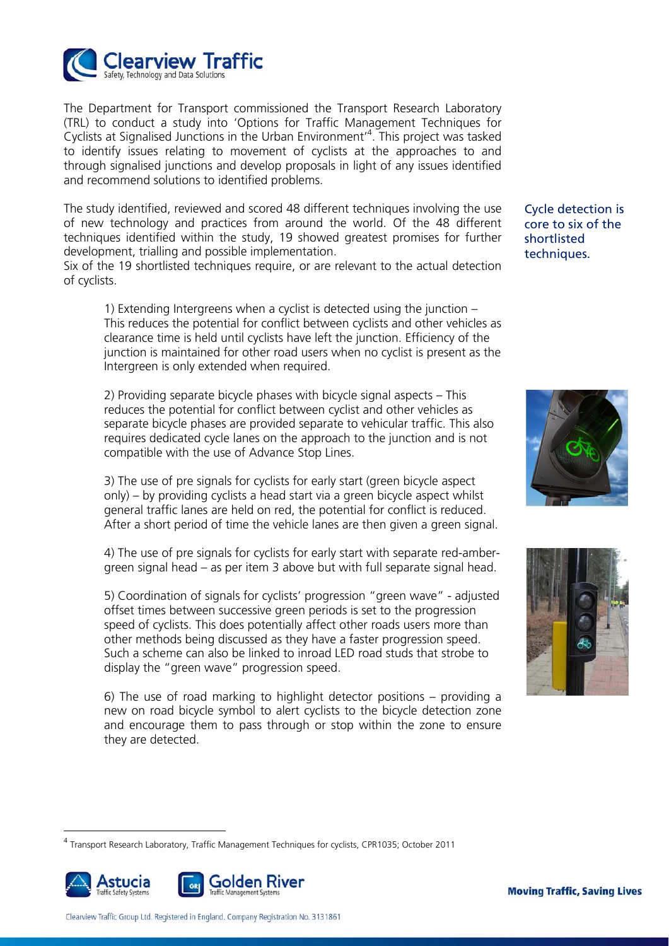

The Department for Transport commissioned the Transport Research Laboratory (TRL) to conduct a study into 'Options for Traffic Management Techniques for Cyclists at Signalised Junctions in the Urban Environment<sup>14</sup>. This project was tasked to identify issues relating to movement of cyclists at the approaches to and through signalised junctions and develop proposals in light of any issues identified and recommend solutions to identified problems.

The study identified, reviewed and scored 48 different techniques involving the use of new technology and practices from around the world. Of the 48 different techniques identified within the study, 19 showed greatest promises for further development, trialling and possible implementation.

Six of the 19 shortlisted techniques require, or are relevant to the actual detection of cyclists.

1) Extending Intergreens when a cyclist is detected using the junction – This reduces the potential for conflict between cyclists and other vehicles as clearance time is held until cyclists have left the junction. Efficiency of the junction is maintained for other road users when no cyclist is present as the Intergreen is only extended when required.

2) Providing separate bicycle phases with bicycle signal aspects – This reduces the potential for conflict between cyclist and other vehicles as separate bicycle phases are provided separate to vehicular traffic. This also requires dedicated cycle lanes on the approach to the junction and is not compatible with the use of Advance Stop Lines.

3) The use of pre signals for cyclists for early start (green bicycle aspect only) – by providing cyclists a head start via a green bicycle aspect whilst general traffic lanes are held on red, the potential for conflict is reduced. After a short period of time the vehicle lanes are then given a green signal.

4) The use of pre signals for cyclists for early start with separate red-ambergreen signal head – as per item 3 above but with full separate signal head.

5) Coordination of signals for cyclists' progression "green wave" - adjusted offset times between successive green periods is set to the progression speed of cyclists. This does potentially affect other roads users more than other methods being discussed as they have a faster progression speed. Such a scheme can also be linked to inroad LED road studs that strobe to display the "green wave" progression speed.

6) The use of road marking to highlight detector positions – providing a new on road bicycle symbol to alert cyclists to the bicycle detection zone and encourage them to pass through or stop within the zone to ensure they are detected.

Cycle detection is core to six of the shortlisted techniques.





<sup>4</sup> Transport Research Laboratory, Traffic Management Techniques for cyclists, CPR1035; October 2011



 $\overline{a}$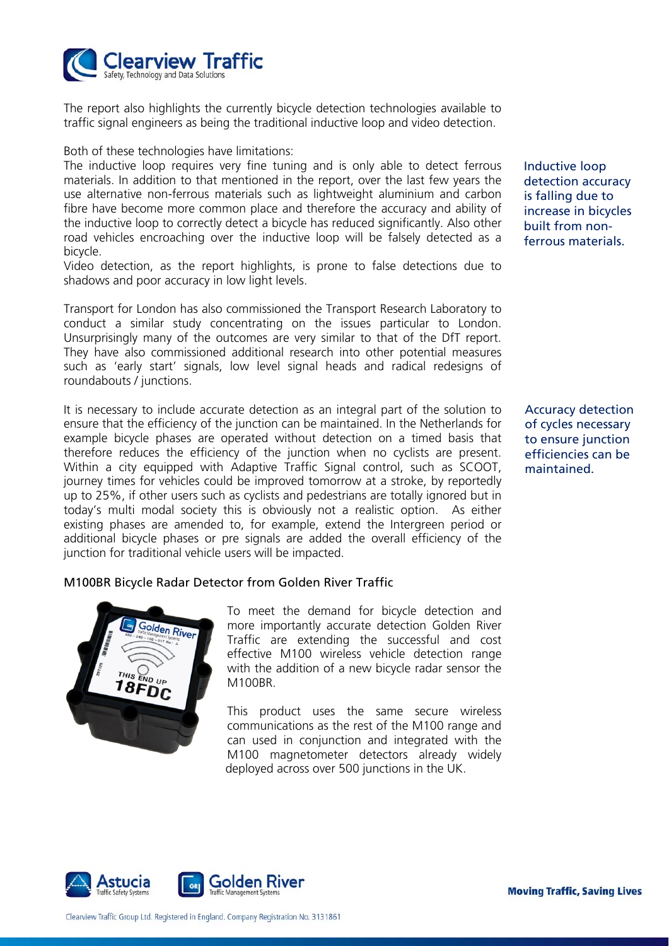

The report also highlights the currently bicycle detection technologies available to traffic signal engineers as being the traditional inductive loop and video detection.

Both of these technologies have limitations:

The inductive loop requires very fine tuning and is only able to detect ferrous materials. In addition to that mentioned in the report, over the last few years the use alternative non-ferrous materials such as lightweight aluminium and carbon fibre have become more common place and therefore the accuracy and ability of the inductive loop to correctly detect a bicycle has reduced significantly. Also other road vehicles encroaching over the inductive loop will be falsely detected as a bicycle.

Video detection, as the report highlights, is prone to false detections due to shadows and poor accuracy in low light levels.

Transport for London has also commissioned the Transport Research Laboratory to conduct a similar study concentrating on the issues particular to London. Unsurprisingly many of the outcomes are very similar to that of the DfT report. They have also commissioned additional research into other potential measures such as 'early start' signals, low level signal heads and radical redesigns of roundabouts / junctions.

It is necessary to include accurate detection as an integral part of the solution to ensure that the efficiency of the junction can be maintained. In the Netherlands for example bicycle phases are operated without detection on a timed basis that therefore reduces the efficiency of the junction when no cyclists are present. Within a city equipped with Adaptive Traffic Signal control, such as SCOOT, journey times for vehicles could be improved tomorrow at a stroke, by reportedly up to 25%, if other users such as cyclists and pedestrians are totally ignored but in today's multi modal society this is obviously not a realistic option. As either existing phases are amended to, for example, extend the Intergreen period or additional bicycle phases or pre signals are added the overall efficiency of the junction for traditional vehicle users will be impacted.

#### M100BR Bicycle Radar Detector from Golden River Traffic



To meet the demand for bicycle detection and more importantly accurate detection Golden River Traffic are extending the successful and cost effective M100 wireless vehicle detection range with the addition of a new bicycle radar sensor the M100BR.

This product uses the same secure wireless communications as the rest of the M100 range and can used in conjunction and integrated with the M100 magnetometer detectors already widely deployed across over 500 junctions in the UK.

Inductive loop detection accuracy is falling due to increase in bicycles built from nonferrous materials.

Accuracy detection of cycles necessary to ensure junction efficiencies can be maintained.



Clearview Traffic Group Ltd. Registered in England. Company Registration No. 3131861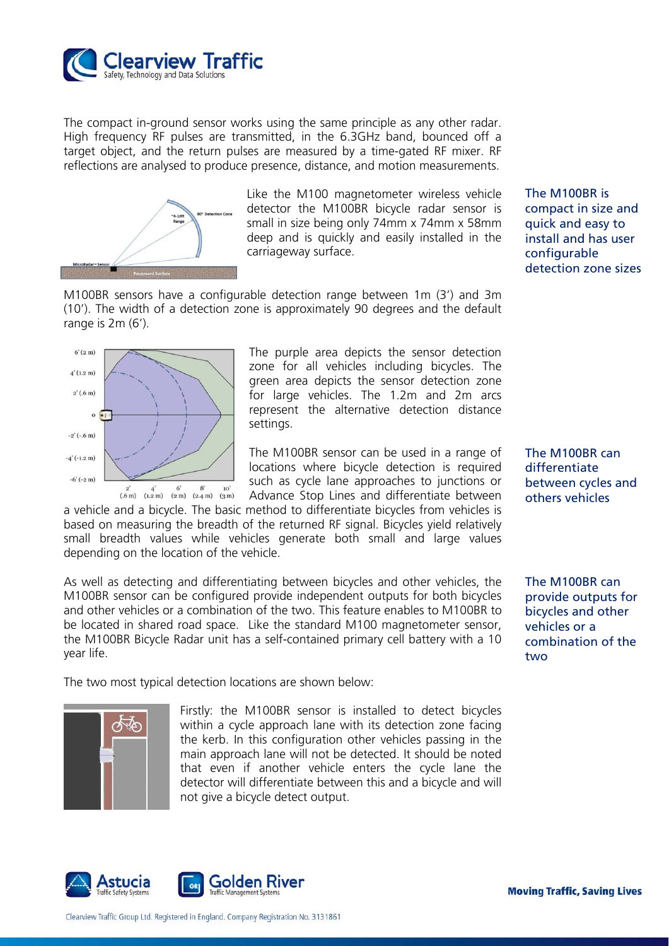

The compact in-ground sensor works using the same principle as any other radar. High frequency RF pulses are transmitted, in the 6.3GHz band, bounced off a target object, and the return pulses are measured by a time-gated RF mixer. RF reflections are analysed to produce presence, distance, and motion measurements.



Like the M100 magnetometer wireless vehicle detector the M100BR bicycle radar sensor is small in size being only 74mm x 74mm x 58mm deep and is quickly and easily installed in the carriageway surface.

M100BR sensors have a configurable detection range between 1m (3') and 3m (10'). The width of a detection zone is approximately 90 degrees and the default range is 2m (6').



The purple area depicts the sensor detection zone for all vehicles including bicycles. The green area depicts the sensor detection zone for large vehicles. The 1.2m and 2m arcs represent the alternative detection distance settings.

The M100BR sensor can be used in a range of locations where bicycle detection is required such as cycle lane approaches to junctions or Advance Stop Lines and differentiate between

a vehicle and a bicycle. The basic method to differentiate bicycles from vehicles is based on measuring the breadth of the returned RF signal. Bicycles yield relatively small breadth values while vehicles generate both small and large values depending on the location of the vehicle.

As well as detecting and differentiating between bicycles and other vehicles, the M100BR sensor can be configured provide independent outputs for both bicycles and other vehicles or a combination of the two. This feature enables to M100BR to be located in shared road space. Like the standard M100 magnetometer sensor, the M100BR Bicycle Radar unit has a self-contained primary cell battery with a 10 year life.

The two most typical detection locations are shown below:



Firstly: the M100BR sensor is installed to detect bicycles within a cycle approach lane with its detection zone facing the kerb. In this configuration other vehicles passing in the main approach lane will not be detected. It should be noted that even if another vehicle enters the cycle lane the detector will differentiate between this and a bicycle and will not give a bicycle detect output.



The M100BR is compact in size and quick and easy to install and has user configurable detection zone sizes

The M100BR can differentiate between cycles and others vehicles

The M100BR can provide outputs for bicycles and other vehicles or a combination of the two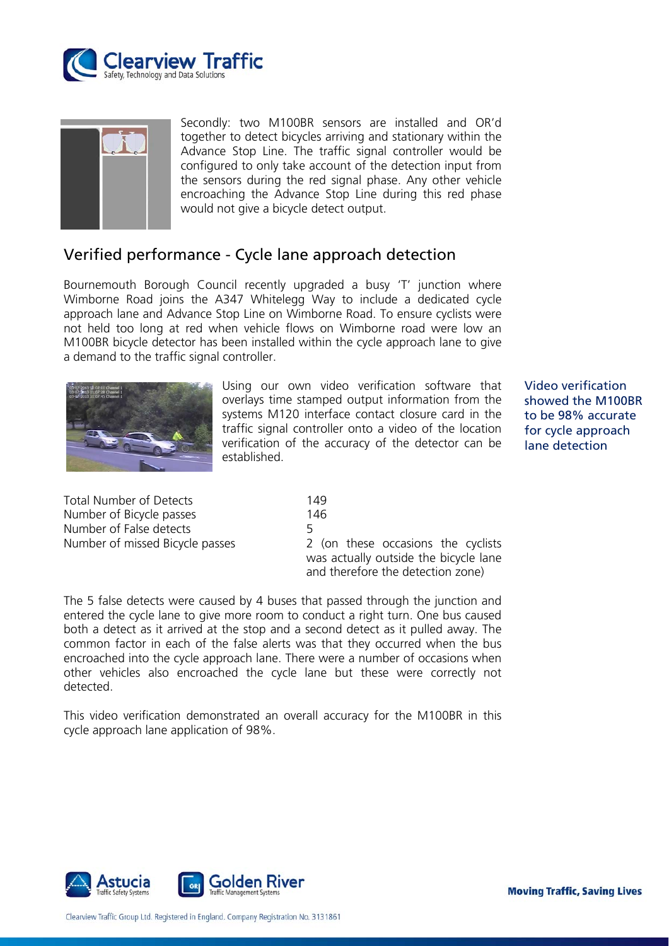



Secondly: two M100BR sensors are installed and OR'd together to detect bicycles arriving and stationary within the Advance Stop Line. The traffic signal controller would be configured to only take account of the detection input from the sensors during the red signal phase. Any other vehicle encroaching the Advance Stop Line during this red phase would not give a bicycle detect output.

# Verified performance - Cycle lane approach detection

Bournemouth Borough Council recently upgraded a busy 'T' junction where Wimborne Road joins the A347 Whitelegg Way to include a dedicated cycle approach lane and Advance Stop Line on Wimborne Road. To ensure cyclists were not held too long at red when vehicle flows on Wimborne road were low an M100BR bicycle detector has been installed within the cycle approach lane to give a demand to the traffic signal controller.



Using our own video verification software that overlays time stamped output information from the systems M120 interface contact closure card in the traffic signal controller onto a video of the location verification of the accuracy of the detector can be established.

Video verification showed the M100BR to be 98% accurate for cycle approach lane detection

| <b>Total Number of Detects</b>  | 149  |
|---------------------------------|------|
| Number of Bicycle passes        | 146. |
| Number of False detects         |      |
| Number of missed Bicycle passes | 2 (c |

2 (on these occasions the cyclists was actually outside the bicycle lane and therefore the detection zone)

The 5 false detects were caused by 4 buses that passed through the junction and entered the cycle lane to give more room to conduct a right turn. One bus caused both a detect as it arrived at the stop and a second detect as it pulled away. The common factor in each of the false alerts was that they occurred when the bus encroached into the cycle approach lane. There were a number of occasions when other vehicles also encroached the cycle lane but these were correctly not detected.

This video verification demonstrated an overall accuracy for the M100BR in this cycle approach lane application of 98%.

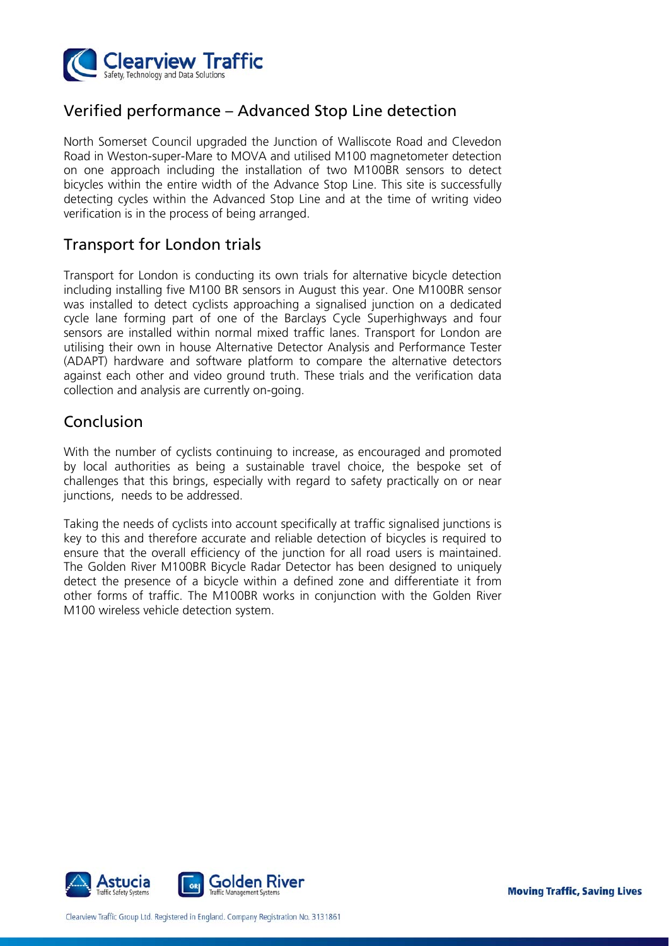

# Verified performance – Advanced Stop Line detection

North Somerset Council upgraded the Junction of Walliscote Road and Clevedon Road in Weston-super-Mare to MOVA and utilised M100 magnetometer detection on one approach including the installation of two M100BR sensors to detect bicycles within the entire width of the Advance Stop Line. This site is successfully detecting cycles within the Advanced Stop Line and at the time of writing video verification is in the process of being arranged.

### Transport for London trials

Transport for London is conducting its own trials for alternative bicycle detection including installing five M100 BR sensors in August this year. One M100BR sensor was installed to detect cyclists approaching a signalised junction on a dedicated cycle lane forming part of one of the Barclays Cycle Superhighways and four sensors are installed within normal mixed traffic lanes. Transport for London are utilising their own in house Alternative Detector Analysis and Performance Tester (ADAPT) hardware and software platform to compare the alternative detectors against each other and video ground truth. These trials and the verification data collection and analysis are currently on-going.

# Conclusion

With the number of cyclists continuing to increase, as encouraged and promoted by local authorities as being a sustainable travel choice, the bespoke set of challenges that this brings, especially with regard to safety practically on or near junctions, needs to be addressed.

Taking the needs of cyclists into account specifically at traffic signalised junctions is key to this and therefore accurate and reliable detection of bicycles is required to ensure that the overall efficiency of the junction for all road users is maintained. The Golden River M100BR Bicycle Radar Detector has been designed to uniquely detect the presence of a bicycle within a defined zone and differentiate it from other forms of traffic. The M100BR works in conjunction with the Golden River M100 wireless vehicle detection system.